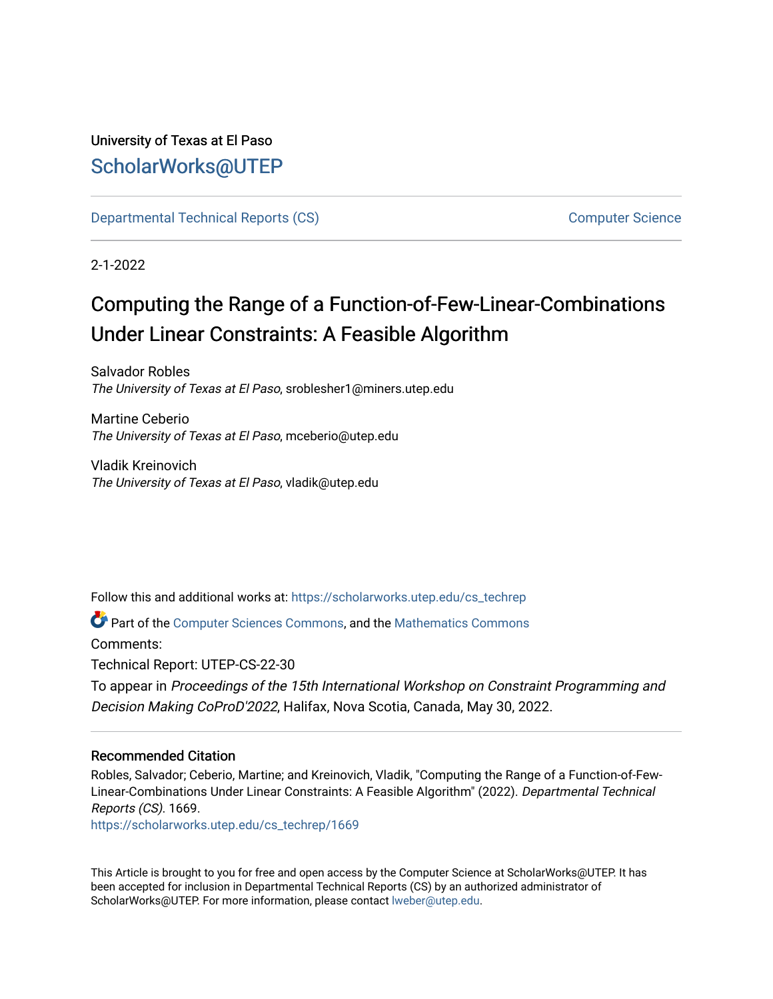## University of Texas at El Paso [ScholarWorks@UTEP](https://scholarworks.utep.edu/)

[Departmental Technical Reports \(CS\)](https://scholarworks.utep.edu/cs_techrep) [Computer Science](https://scholarworks.utep.edu/computer) 

2-1-2022

# Computing the Range of a Function-of-Few-Linear-Combinations Under Linear Constraints: A Feasible Algorithm

Salvador Robles The University of Texas at El Paso, sroblesher1@miners.utep.edu

Martine Ceberio The University of Texas at El Paso, mceberio@utep.edu

Vladik Kreinovich The University of Texas at El Paso, vladik@utep.edu

Follow this and additional works at: [https://scholarworks.utep.edu/cs\\_techrep](https://scholarworks.utep.edu/cs_techrep?utm_source=scholarworks.utep.edu%2Fcs_techrep%2F1669&utm_medium=PDF&utm_campaign=PDFCoverPages) 

Part of the [Computer Sciences Commons](http://network.bepress.com/hgg/discipline/142?utm_source=scholarworks.utep.edu%2Fcs_techrep%2F1669&utm_medium=PDF&utm_campaign=PDFCoverPages), and the [Mathematics Commons](http://network.bepress.com/hgg/discipline/174?utm_source=scholarworks.utep.edu%2Fcs_techrep%2F1669&utm_medium=PDF&utm_campaign=PDFCoverPages) 

Comments:

Technical Report: UTEP-CS-22-30

To appear in Proceedings of the 15th International Workshop on Constraint Programming and Decision Making CoProD'2022, Halifax, Nova Scotia, Canada, May 30, 2022.

### Recommended Citation

Robles, Salvador; Ceberio, Martine; and Kreinovich, Vladik, "Computing the Range of a Function-of-Few-Linear-Combinations Under Linear Constraints: A Feasible Algorithm" (2022). Departmental Technical Reports (CS). 1669.

[https://scholarworks.utep.edu/cs\\_techrep/1669](https://scholarworks.utep.edu/cs_techrep/1669?utm_source=scholarworks.utep.edu%2Fcs_techrep%2F1669&utm_medium=PDF&utm_campaign=PDFCoverPages) 

This Article is brought to you for free and open access by the Computer Science at ScholarWorks@UTEP. It has been accepted for inclusion in Departmental Technical Reports (CS) by an authorized administrator of ScholarWorks@UTEP. For more information, please contact [lweber@utep.edu](mailto:lweber@utep.edu).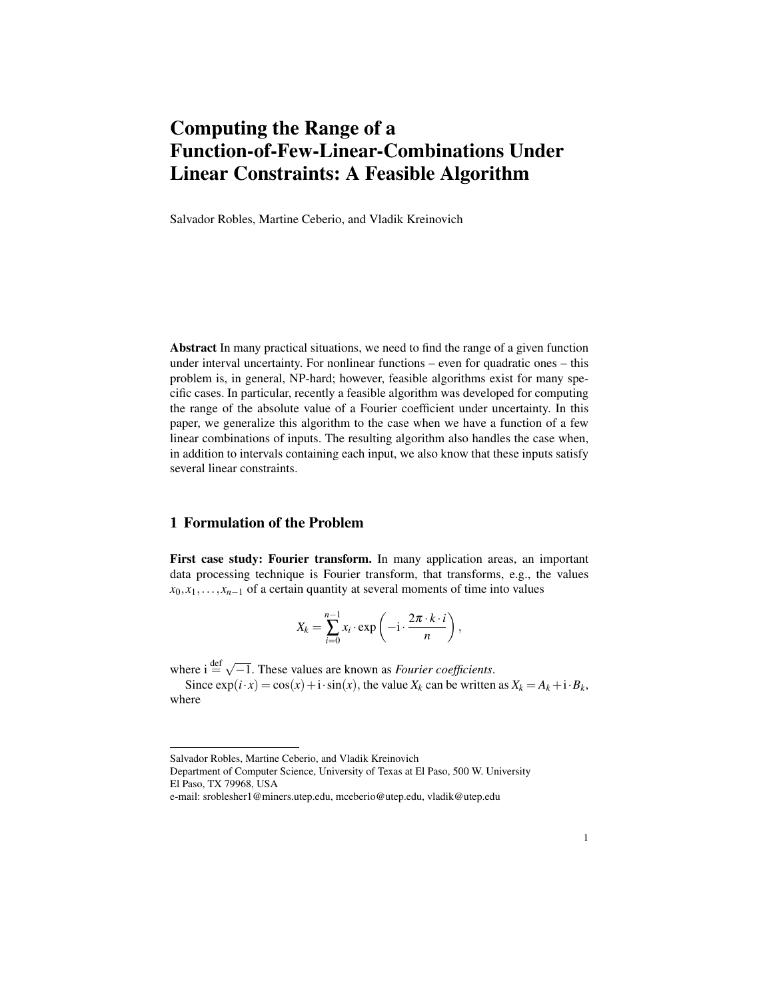## Computing the Range of a Function-of-Few-Linear-Combinations Under Linear Constraints: A Feasible Algorithm

Salvador Robles, Martine Ceberio, and Vladik Kreinovich

Abstract In many practical situations, we need to find the range of a given function under interval uncertainty. For nonlinear functions – even for quadratic ones – this problem is, in general, NP-hard; however, feasible algorithms exist for many specific cases. In particular, recently a feasible algorithm was developed for computing the range of the absolute value of a Fourier coefficient under uncertainty. In this paper, we generalize this algorithm to the case when we have a function of a few linear combinations of inputs. The resulting algorithm also handles the case when, in addition to intervals containing each input, we also know that these inputs satisfy several linear constraints.

#### 1 Formulation of the Problem

First case study: Fourier transform. In many application areas, an important data processing technique is Fourier transform, that transforms, e.g., the values  $x_0, x_1, \ldots, x_{n-1}$  of a certain quantity at several moments of time into values

$$
X_k = \sum_{i=0}^{n-1} x_i \cdot \exp\left(-i \cdot \frac{2\pi \cdot k \cdot i}{n}\right),
$$

where  $i \stackrel{\text{def}}{=} \sqrt{-1}$ . These values are known as *Fourier coefficients*.

Since  $\exp(i \cdot x) = \cos(x) + i \cdot \sin(x)$ , the value  $X_k$  can be written as  $X_k = A_k + i \cdot B_k$ , where

Salvador Robles, Martine Ceberio, and Vladik Kreinovich

Department of Computer Science, University of Texas at El Paso, 500 W. University El Paso, TX 79968, USA

e-mail: sroblesher1@miners.utep.edu, mceberio@utep.edu, vladik@utep.edu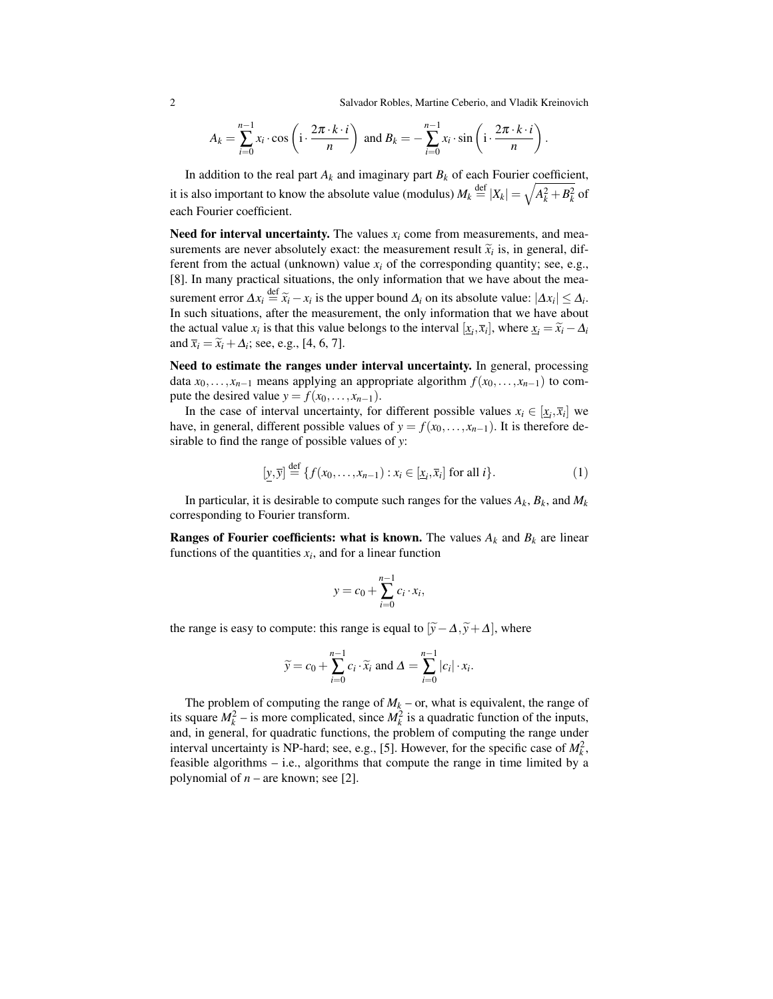2 Salvador Robles, Martine Ceberio, and Vladik Kreinovich

$$
A_k = \sum_{i=0}^{n-1} x_i \cdot \cos\left(i \cdot \frac{2\pi \cdot k \cdot i}{n}\right) \text{ and } B_k = -\sum_{i=0}^{n-1} x_i \cdot \sin\left(i \cdot \frac{2\pi \cdot k \cdot i}{n}\right).
$$

In addition to the real part  $A_k$  and imaginary part  $B_k$  of each Fourier coefficient, it is also important to know the absolute value (modulus)  $M_k \stackrel{\text{def}}{=} |X_k| = \sqrt{A_k^2 + B_k^2}$  of each Fourier coefficient.

Need for interval uncertainty. The values  $x_i$  come from measurements, and measurements are never absolutely exact: the measurement result  $\tilde{x}_i$  is, in general, dif-<br>ferent from the actual (unknown) value x, of the corresponding quantity; see e.g. ferent from the actual (unknown) value  $x_i$  of the corresponding quantity; see, e.g., [8]. In many practical situations, the only information that we have about the measurement error  $\Delta x_i \stackrel{\text{def}}{=} \tilde{x}_i - x_i$  is the upper bound  $\Delta_i$  on its absolute value:  $|\Delta x_i| \leq \Delta_i$ .<br>In such situations, ofter the massurement, the only information that we have about In such situations, after the measurement, the only information that we have about the actual value  $x_i$  is that this value belongs to the interval  $[\underline{x}_i, \overline{x}_i]$ , where  $\underline{x}_i = \widetilde{x}_i - \Delta_i$ <br>and  $\overline{x}_i = \widetilde{x}_i + \Delta_i$ ; see e.g. [4, 6, 7] and  $\bar{x}_i = \tilde{x}_i + \Delta_i$ ; see, e.g., [4, 6, 7].

Need to estimate the ranges under interval uncertainty. In general, processing data  $x_0, \ldots, x_{n-1}$  means applying an appropriate algorithm  $f(x_0, \ldots, x_{n-1})$  to compute the desired value  $y = f(x_0, \ldots, x_{n-1})$ .

In the case of interval uncertainty, for different possible values  $x_i \in [\underline{x}_i, \overline{x}_i]$  we have, in general, different possible values of  $y = f(x_0, \ldots, x_{n-1})$ . It is therefore desirable to find the range of possible values of *y*:

$$
[\underline{y}, \overline{y}] \stackrel{\text{def}}{=} \{ f(x_0, \dots, x_{n-1}) : x_i \in [\underline{x}_i, \overline{x}_i] \text{ for all } i \}. \tag{1}
$$

In particular, it is desirable to compute such ranges for the values  $A_k$ ,  $B_k$ , and  $M_k$ corresponding to Fourier transform.

**Ranges of Fourier coefficients: what is known.** The values  $A_k$  and  $B_k$  are linear functions of the quantities  $x_i$ , and for a linear function

$$
y = c_0 + \sum_{i=0}^{n-1} c_i \cdot x_i,
$$

the range is easy to compute: this range is equal to  $[\tilde{y} - \Delta, \tilde{y} + \Delta]$ , where

$$
\widetilde{y} = c_0 + \sum_{i=0}^{n-1} c_i \cdot \widetilde{x}_i \text{ and } \Delta = \sum_{i=0}^{n-1} |c_i| \cdot x_i.
$$

The problem of computing the range of  $M_k$  – or, what is equivalent, the range of its square  $M_k^2$  – is more complicated, since  $M_k^2$  is a quadratic function of the inputs, and, in general, for quadratic functions, the problem of computing the range under interval uncertainty is NP-hard; see, e.g., [5]. However, for the specific case of  $M_k^2$ , feasible algorithms – i.e., algorithms that compute the range in time limited by a polynomial of *n* – are known; see [2].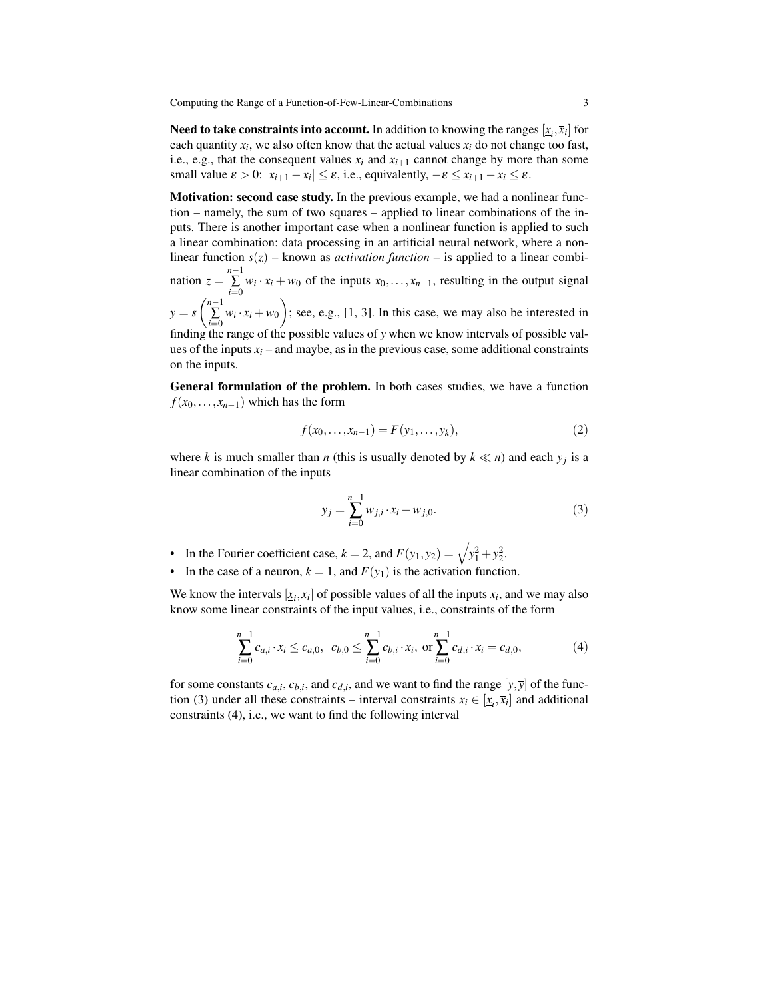Computing the Range of a Function-of-Few-Linear-Combinations 3

**Need to take constraints into account.** In addition to knowing the ranges  $[\underline{x}_i,\overline{x}_i]$  for each quantity  $x_i$ , we also often know that the actual values  $x_i$  do not change too fast, i.e., e.g., that the consequent values  $x_i$  and  $x_{i+1}$  cannot change by more than some small value  $\varepsilon > 0$ :  $|x_{i+1} - x_i| \le \varepsilon$ , i.e., equivalently,  $-\varepsilon \le x_{i+1} - x_i \le \varepsilon$ .

Motivation: second case study. In the previous example, we had a nonlinear function – namely, the sum of two squares – applied to linear combinations of the inputs. There is another important case when a nonlinear function is applied to such a linear combination: data processing in an artificial neural network, where a nonlinear function  $s(z)$  – known as *activation function* – is applied to a linear combination  $z = \sum_{n=1}^{n-1}$  $\sum_{i=0}^{n} w_i \cdot x_i + w_0$  of the inputs  $x_0, \ldots, x_{n-1}$ , resulting in the output signal  $y = s \left(\sum_{n=1}^{n-1} \right)$  $\sum_{i=0}^{n-1} w_i \cdot x_i + w_0$  ; see, e.g., [1, 3]. In this case, we may also be interested in finding the range of the possible values of *y* when we know intervals of possible values of the inputs  $x_i$  – and maybe, as in the previous case, some additional constraints on the inputs.

General formulation of the problem. In both cases studies, we have a function  $f(x_0,...,x_{n-1})$  which has the form

$$
f(x_0, \dots, x_{n-1}) = F(y_1, \dots, y_k),
$$
\n(2)

where *k* is much smaller than *n* (this is usually denoted by  $k \ll n$ ) and each  $y_j$  is a linear combination of the inputs

$$
y_j = \sum_{i=0}^{n-1} w_{j,i} \cdot x_i + w_{j,0}.
$$
 (3)

- In the Fourier coefficient case,  $k = 2$ , and  $F(y_1, y_2) = \sqrt{y_1^2 + y_2^2}$ .
- In the case of a neuron,  $k = 1$ , and  $F(y_1)$  is the activation function.

We know the intervals  $[x_i, \bar{x}_i]$  of possible values of all the inputs  $x_i$ , and we may also know some linear constraints of the input values, i.e., constraints of the form

$$
\sum_{i=0}^{n-1} c_{a,i} \cdot x_i \le c_{a,0}, \ c_{b,0} \le \sum_{i=0}^{n-1} c_{b,i} \cdot x_i, \text{ or } \sum_{i=0}^{n-1} c_{d,i} \cdot x_i = c_{d,0}, \tag{4}
$$

for some constants  $c_{a,i}$ ,  $c_{b,i}$ , and  $c_{d,i}$ , and we want to find the range  $[y, \overline{y}]$  of the function (3) under all these constraints – interval constraints  $x_i \in [\underline{x}_i, \overline{x}_i]$  and additional constraints (4), i.e., we want to find the following interval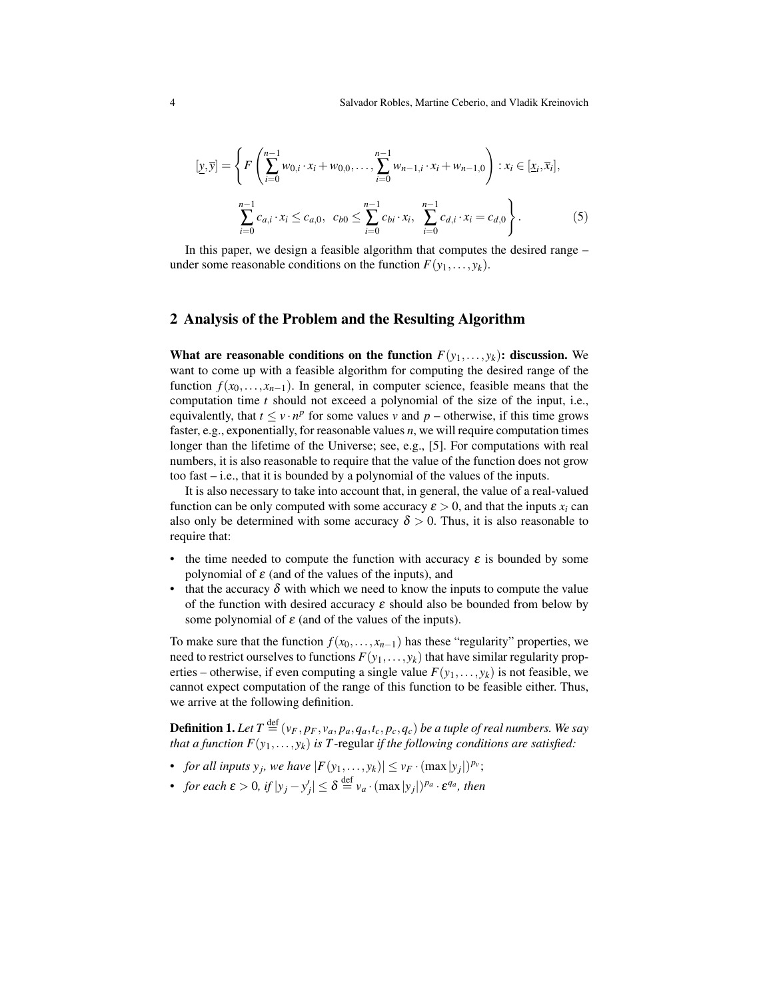$$
[\underline{y}, \overline{y}] = \left\{ F\left(\sum_{i=0}^{n-1} w_{0,i} \cdot x_i + w_{0,0}, \dots, \sum_{i=0}^{n-1} w_{n-1,i} \cdot x_i + w_{n-1,0}\right) : x_i \in [\underline{x}_i, \overline{x}_i], \right\}
$$

$$
\sum_{i=0}^{n-1} c_{a,i} \cdot x_i \le c_{a,0}, \quad c_{b,0} \le \sum_{i=0}^{n-1} c_{bi} \cdot x_i, \sum_{i=0}^{n-1} c_{d,i} \cdot x_i = c_{d,0} \right\}.
$$

$$
(5)
$$

In this paper, we design a feasible algorithm that computes the desired range – under some reasonable conditions on the function  $F(y_1,..., y_k)$ .

#### 2 Analysis of the Problem and the Resulting Algorithm

What are reasonable conditions on the function  $F(y_1,..., y_k)$ : discussion. We want to come up with a feasible algorithm for computing the desired range of the function  $f(x_0,...,x_{n-1})$ . In general, in computer science, feasible means that the computation time *t* should not exceed a polynomial of the size of the input, i.e., equivalently, that  $t \le v \cdot n^p$  for some values *v* and  $p$  – otherwise, if this time grows faster, e.g., exponentially, for reasonable values *n*, we will require computation times longer than the lifetime of the Universe; see, e.g., [5]. For computations with real numbers, it is also reasonable to require that the value of the function does not grow too fast – i.e., that it is bounded by a polynomial of the values of the inputs.

It is also necessary to take into account that, in general, the value of a real-valued function can be only computed with some accuracy  $\varepsilon > 0$ , and that the inputs  $x_i$  can also only be determined with some accuracy  $\delta > 0$ . Thus, it is also reasonable to require that:

- the time needed to compute the function with accuracy  $\varepsilon$  is bounded by some polynomial of  $\varepsilon$  (and of the values of the inputs), and
- that the accuracy  $\delta$  with which we need to know the inputs to compute the value of the function with desired accuracy  $\varepsilon$  should also be bounded from below by some polynomial of  $\varepsilon$  (and of the values of the inputs).

To make sure that the function  $f(x_0,...,x_{n-1})$  has these "regularity" properties, we need to restrict ourselves to functions  $F(y_1,..., y_k)$  that have similar regularity properties – otherwise, if even computing a single value  $F(y_1,..., y_k)$  is not feasible, we cannot expect computation of the range of this function to be feasible either. Thus, we arrive at the following definition.

**Definition 1.** Let  $T \stackrel{\text{def}}{=} (v_F, p_F, v_a, p_a, q_a, t_c, p_c, q_c)$  be a tuple of real numbers. We say *that a function*  $F(y_1,..., y_k)$  *is T*-regular *if the following conditions are satisfied:* 

- *for all inputs*  $y_j$ *, we have*  $|F(y_1,..., y_k)| \le v_F \cdot (\max |y_j|)^{p_v}$ ;
- *for each*  $\varepsilon > 0$ *, if*  $|y_j y'_j| \leq \delta \stackrel{\text{def}}{=} v_a \cdot (\max |y_j|)^{p_a} \cdot \varepsilon^{q_a}$ *, then*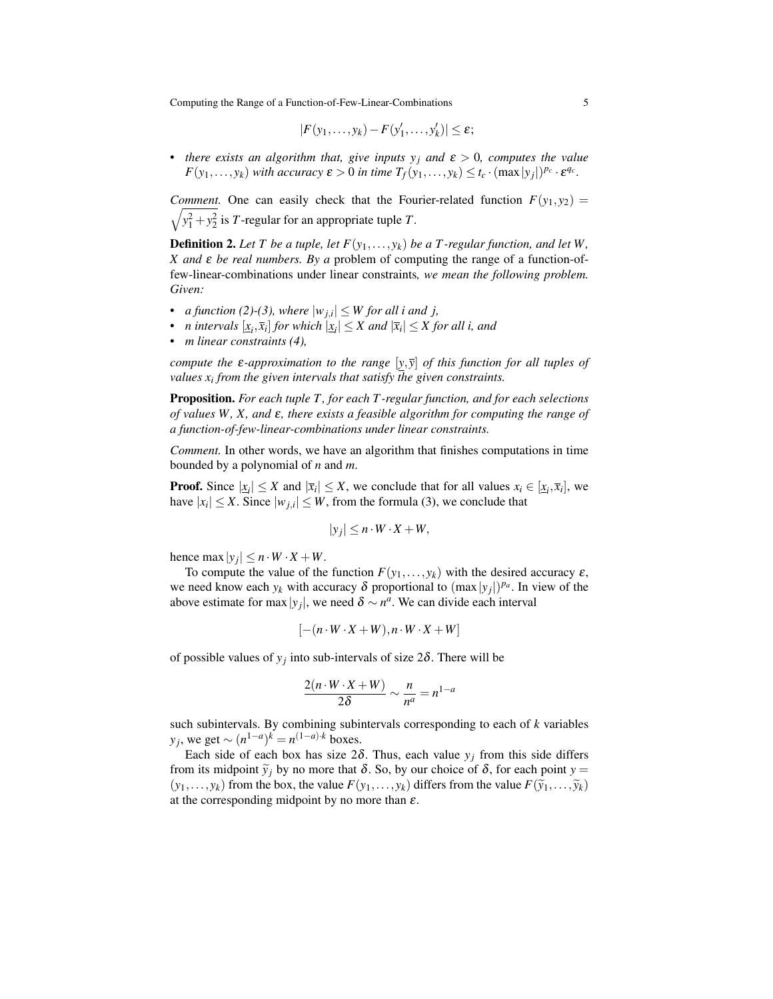Computing the Range of a Function-of-Few-Linear-Combinations 5

$$
|F(y_1,\ldots,y_k)-F(y'_1,\ldots,y'_k)|\leq \varepsilon;
$$

• *there exists an algorithm that, give inputs*  $y_j$  *and*  $\varepsilon > 0$ *, computes the value F*(*y*<sub>1</sub>,...,*y*<sub>*k*</sub>) *with accuracy*  $\epsilon > 0$  *in time*  $T_f(y_1,...,y_k) \le t_c \cdot (\max|y_j|)^{p_c} \cdot \epsilon^{q_c}$ .

*Comment.* One can easily check that the Fourier-related function  $F(y_1, y_2)$  =  $\sqrt{y_1^2 + y_2^2}$  is *T*-regular for an appropriate tuple *T*.

**Definition 2.** Let T be a tuple, let  $F(y_1,..., y_k)$  be a T-regular function, and let W, *X and* ε *be real numbers. By a* problem of computing the range of a function-offew-linear-combinations under linear constraints*, we mean the following problem. Given:*

- *a function* (2)-(3), where  $|w_{j,i}| \leq W$  for all *i* and *j*,
- *n* intervals  $[x_i, \bar{x}_i]$  for which  $|\underline{x}_i| \leq X$  and  $|\bar{x}_i| \leq X$  for all i, and
- *• m linear constraints (4),*

*compute the*  $\varepsilon$ -approximation to the range  $[\mathbf{v}, \mathbf{v}]$  of this function for all tuples of *values x<sup>i</sup> from the given intervals that satisfy the given constraints.*

Proposition. *For each tuple T , for each T -regular function, and for each selections of values W, X, and* ε*, there exists a feasible algorithm for computing the range of a function-of-few-linear-combinations under linear constraints.*

*Comment.* In other words, we have an algorithm that finishes computations in time bounded by a polynomial of *n* and *m*.

**Proof.** Since  $|\underline{x}_i| \leq X$  and  $|\overline{x}_i| \leq X$ , we conclude that for all values  $x_i \in [\underline{x}_i, \overline{x}_i]$ , we have  $|x_i| \leq X$ . Since  $|w_{j,i}| \leq W$ , from the formula (3), we conclude that

$$
|y_j| \le n \cdot W \cdot X + W,
$$

hence max  $|y_j| \leq n \cdot W \cdot X + W$ .

To compute the value of the function  $F(y_1,..., y_k)$  with the desired accuracy  $\varepsilon$ , we need know each  $y_k$  with accuracy  $\delta$  proportional to  $(\max|y_j|)^{p_a}$ . In view of the above estimate for max  $|y_j|$ , we need  $\delta \sim n^a$ . We can divide each interval

$$
[-(n \cdot W \cdot X + W), n \cdot W \cdot X + W]
$$

of possible values of  $y_j$  into sub-intervals of size  $2\delta$ . There will be

$$
\frac{2(n \cdot W \cdot X + W)}{2\delta} \sim \frac{n}{n^a} = n^{1-a}
$$

such subintervals. By combining subintervals corresponding to each of *k* variables *y*<sub>*j*</sub>, we get  $\sim (n^{1-a})^k = n^{(1-a)\cdot k}$  boxes.

Each side of each box has size  $2\delta$ . Thus, each value  $y_j$  from this side differs from its midpoint  $\tilde{y}_i$  by no more that  $\delta$ . So, by our choice of  $\delta$ , for each point  $y =$  $(y_1, \ldots, y_k)$  from the box, the value  $F(y_1, \ldots, y_k)$  differs from the value  $F(\tilde{y}_1, \ldots, \tilde{y}_k)$ at the corresponding midpoint by no more than  $\varepsilon$ .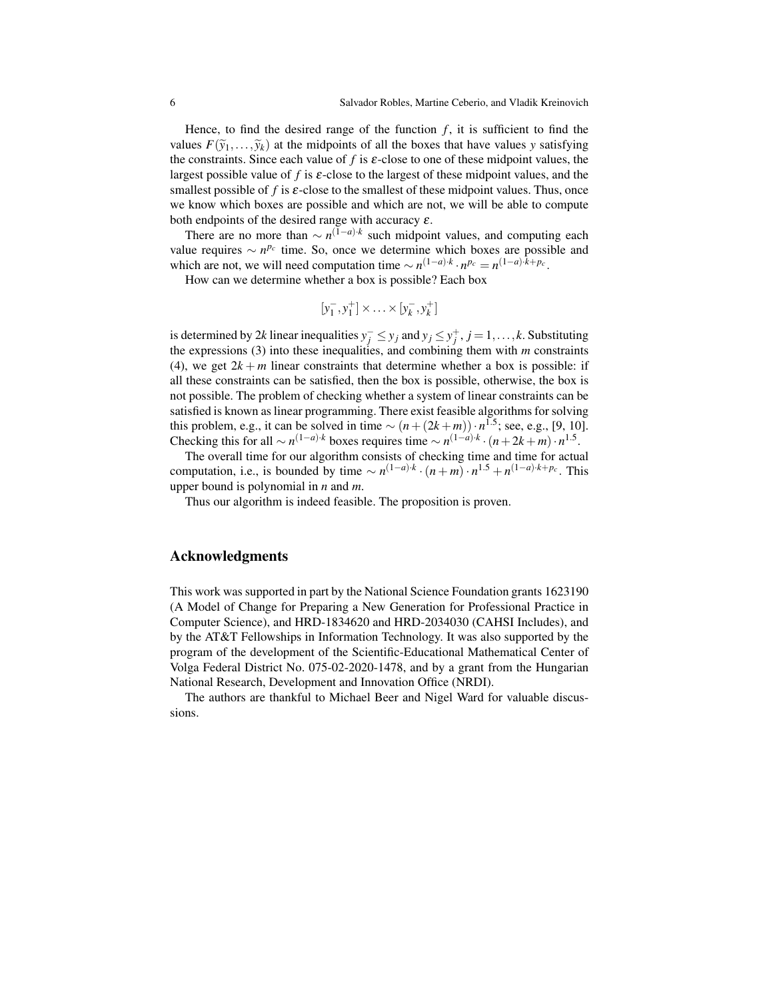Hence, to find the desired range of the function  $f$ , it is sufficient to find the values  $F(\tilde{y}_1,\ldots,\tilde{y}_k)$  at the midpoints of all the boxes that have values *y* satisfying the constraints. Since each value of  $f$  is  $\varepsilon$ -close to one of these midpoint values, the largest possible value of f is  $\varepsilon$ -close to the largest of these midpoint values, and the smallest possible of  $f$  is  $\varepsilon$ -close to the smallest of these midpoint values. Thus, once we know which boxes are possible and which are not, we will be able to compute both endpoints of the desired range with accuracy  $\varepsilon$ .

There are no more than  $\sim n^{(1-a)\cdot k}$  such midpoint values, and computing each value requires  $\sim$  *n<sup>p<sub>c</sub>*</sup> time. So, once we determine which boxes are possible and which are not, we will need computation time  $\sim n^{(1-a) \cdot k} \cdot n^{p_c} = n^{(1-a) \cdot k + p_c}$ .

How can we determine whether a box is possible? Each box

$$
[y_1^-, y_1^+] \times \ldots \times [y_k^-, y_k^+]
$$

is determined by 2*k* linear inequalities  $y_j^-\leq y_j$  and  $y_j\leq y_j^+, j=1,\ldots,k$ . Substituting the expressions (3) into these inequalities, and combining them with *m* constraints (4), we get  $2k + m$  linear constraints that determine whether a box is possible: if all these constraints can be satisfied, then the box is possible, otherwise, the box is not possible. The problem of checking whether a system of linear constraints can be satisfied is known as linear programming. There exist feasible algorithms for solving this problem, e.g., it can be solved in time  $\sim (n + (2k + m)) \cdot n^{1.5}$ ; see, e.g., [9, 10]. Checking this for all  $\sim n^{(1-a)\cdot k}$  boxes requires time  $\sim n^{(1-a)\cdot k} \cdot (n+2k+m) \cdot n^{1.5}$ .

The overall time for our algorithm consists of checking time and time for actual computation, i.e., is bounded by time  $\sim n^{(1-a) \cdot k} \cdot (n+m) \cdot n^{1.5} + n^{(1-a) \cdot k + p_c}$ . This upper bound is polynomial in *n* and *m*.

Thus our algorithm is indeed feasible. The proposition is proven.

#### Acknowledgments

This work was supported in part by the National Science Foundation grants 1623190 (A Model of Change for Preparing a New Generation for Professional Practice in Computer Science), and HRD-1834620 and HRD-2034030 (CAHSI Includes), and by the AT&T Fellowships in Information Technology. It was also supported by the program of the development of the Scientific-Educational Mathematical Center of Volga Federal District No. 075-02-2020-1478, and by a grant from the Hungarian National Research, Development and Innovation Office (NRDI).

The authors are thankful to Michael Beer and Nigel Ward for valuable discussions.